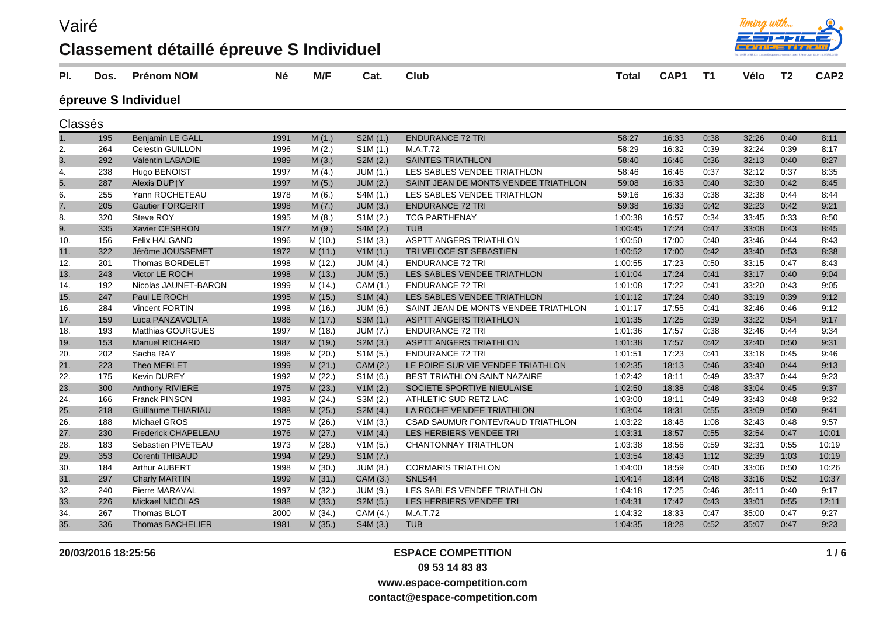Vairé

## **Classement détaillé épreuve S Individuel**



| PI.     | Dos. | <b>Prénom NOM</b>          | <b>Né</b> | M/F     | Cat.                  | <b>Club</b>                          | <b>Total</b> | CAP1  | T <sub>1</sub> | Vélo  | T <sub>2</sub> | CAP2  |
|---------|------|----------------------------|-----------|---------|-----------------------|--------------------------------------|--------------|-------|----------------|-------|----------------|-------|
|         |      | épreuve S Individuel       |           |         |                       |                                      |              |       |                |       |                |       |
| Classés |      |                            |           |         |                       |                                      |              |       |                |       |                |       |
| 1.      | 195  | <b>Benjamin LE GALL</b>    | 1991      | M(1.)   | S2M (1.)              | <b>ENDURANCE 72 TRI</b>              | 58:27        | 16:33 | 0:38           | 32:26 | 0:40           | 8:11  |
| 2.      | 264  | <b>Celestin GUILLON</b>    | 1996      | M(2.)   | S <sub>1</sub> M(1.)  | M.A.T.72                             | 58:29        | 16:32 | 0:39           | 32:24 | 0:39           | 8:17  |
| 3.      | 292  | Valentin LABADIE           | 1989      | M(3.)   | S2M(2.)               | <b>SAINTES TRIATHLON</b>             | 58:40        | 16:46 | 0:36           | 32:13 | 0:40           | 8:27  |
| 4.      | 238  | Hugo BENOIST               | 1997      | M(4.)   | JUM(1.)               | LES SABLES VENDEE TRIATHLON          | 58:46        | 16:46 | 0:37           | 32:12 | 0:37           | 8:35  |
| 5.      | 287  | Alexis DUP+Y               | 1997      | M(5.)   | <b>JUM (2.)</b>       | SAINT JEAN DE MONTS VENDEE TRIATHLON | 59:08        | 16:33 | 0:40           | 32:30 | 0:42           | 8:45  |
| 6.      | 255  | Yann ROCHETEAU             | 1978      | M(6.)   | S4M (1.)              | LES SABLES VENDEE TRIATHLON          | 59:16        | 16:33 | 0:38           | 32:38 | 0:44           | 8:44  |
| 7.      | 205  | <b>Gautier FORGERIT</b>    | 1998      | M(7.)   | <b>JUM (3.)</b>       | <b>ENDURANCE 72 TRI</b>              | 59:38        | 16:33 | 0:42           | 32:23 | 0:42           | 9:21  |
| 8.      | 320  | Steve ROY                  | 1995      | M(8.)   | S1M (2.)              | <b>TCG PARTHENAY</b>                 | 1:00:38      | 16:57 | 0:34           | 33:45 | 0:33           | 8:50  |
| 9.      | 335  | Xavier CESBRON             | 1977      | M(9.)   | S4M (2.)              | <b>TUB</b>                           | 1:00:45      | 17:24 | 0:47           | 33:08 | 0:43           | 8:45  |
| 10.     | 156  | <b>Felix HALGAND</b>       | 1996      | M (10.) | SIM(3.)               | <b>ASPTT ANGERS TRIATHLON</b>        | 1:00:50      | 17:00 | 0:40           | 33:46 | 0:44           | 8:43  |
| 11.     | 322  | Jérôme JOUSSEMET           | 1972      | M(11.)  | V1M(1.)               | TRI VELOCE ST SEBASTIEN              | 1:00:52      | 17:00 | 0:42           | 33:40 | 0:53           | 8:38  |
| 12.     | 201  | <b>Thomas BORDELET</b>     | 1998      | M (12.) | <b>JUM (4.)</b>       | <b>ENDURANCE 72 TRI</b>              | 1:00:55      | 17:23 | 0:50           | 33:15 | 0:47           | 8:43  |
| 13.     | 243  | <b>Victor LE ROCH</b>      | 1998      | M(13.)  | <b>JUM (5.)</b>       | LES SABLES VENDEE TRIATHLON          | 1:01:04      | 17:24 | 0:41           | 33:17 | 0:40           | 9:04  |
| 14.     | 192  | Nicolas JAUNET-BARON       | 1999      | M (14.) | CAM (1.)              | <b>ENDURANCE 72 TRI</b>              | 1:01:08      | 17:22 | 0:41           | 33:20 | 0:43           | 9:05  |
| 15.     | 247  | Paul LE ROCH               | 1995      | M (15.) | SIM(4.)               | LES SABLES VENDEE TRIATHLON          | 1:01:12      | 17:24 | 0:40           | 33:19 | 0:39           | 9:12  |
| 16.     | 284  | Vincent FORTIN             | 1998      | M (16.) | JUM (6.)              | SAINT JEAN DE MONTS VENDEE TRIATHLON | 1:01:17      | 17:55 | 0:41           | 32:46 | 0:46           | 9:12  |
| 17.     | 159  | Luca PANZAVOLTA            | 1986      | M (17.) | S3M (1.)              | ASPTT ANGERS TRIATHLON               | 1:01:35      | 17:25 | 0:39           | 33:22 | 0:54           | 9:17  |
| 18.     | 193  | <b>Matthias GOURGUES</b>   | 1997      | M (18.) | <b>JUM (7.)</b>       | <b>ENDURANCE 72 TRI</b>              | 1:01:36      | 17:57 | 0:38           | 32:46 | 0:44           | 9:34  |
| 19.     | 153  | <b>Manuel RICHARD</b>      | 1987      | M (19.) | S2M (3.)              | <b>ASPTT ANGERS TRIATHLON</b>        | 1:01:38      | 17:57 | 0:42           | 32:40 | 0:50           | 9:31  |
| 20.     | 202  | Sacha RAY                  | 1996      | M(20.)  | S1M (5.)              | <b>ENDURANCE 72 TRI</b>              | 1:01:51      | 17:23 | 0:41           | 33:18 | 0:45           | 9:46  |
| 21.     | 223  | Theo MERLET                | 1999      | M(21.)  | CAM (2.)              | LE POIRE SUR VIE VENDEE TRIATHLON    | 1:02:35      | 18:13 | 0:46           | 33:40 | 0:44           | 9:13  |
| 22.     | 175  | <b>Kevin DUREY</b>         | 1992      | M(22.)  | S <sub>1</sub> M (6.) | <b>BEST TRIATHLON SAINT NAZAIRE</b>  | 1:02:42      | 18:11 | 0:49           | 33:37 | 0:44           | 9:23  |
| 23.     | 300  | Anthony RIVIERE            | 1975      | M (23.) | V1M(2.)               | SOCIETE SPORTIVE NIEULAISE           | 1:02:50      | 18:38 | 0:48           | 33:04 | 0:45           | 9:37  |
| 24.     | 166  | <b>Franck PINSON</b>       | 1983      | M(24.)  | S3M (2.)              | ATHLETIC SUD RETZ LAC                | 1:03:00      | 18:11 | 0:49           | 33:43 | 0:48           | 9:32  |
| 25.     | 218  | Guillaume THIARIAU         | 1988      | M (25.) | S2M (4.)              | LA ROCHE VENDEE TRIATHLON            | 1:03:04      | 18:31 | 0:55           | 33:09 | 0:50           | 9:41  |
| 26.     | 188  | Michael GROS               | 1975      | M (26.) | V1M(3.)               | CSAD SAUMUR FONTEVRAUD TRIATHLON     | 1:03:22      | 18:48 | 1:08           | 32:43 | 0:48           | 9:57  |
| 27.     | 230  | <b>Frederick CHAPELEAU</b> | 1976      | M(27.)  | V1M(4.)               | LES HERBIERS VENDEE TRI              | 1:03:31      | 18:57 | 0:55           | 32:54 | 0:47           | 10:01 |
| 28.     | 183  | Sebastien PIVETEAU         | 1973      | M(28.)  | V1M(5.)               | <b>CHANTONNAY TRIATHLON</b>          | 1:03:38      | 18:56 | 0:59           | 32:31 | 0:55           | 10:19 |
| 29.     | 353  | Corenti THIBAUD            | 1994      | M (29.) | S1M (7.)              |                                      | 1:03:54      | 18:43 | 1:12           | 32:39 | 1:03           | 10:19 |
| 30.     | 184  | Arthur AUBERT              | 1998      | M(30.)  | <b>JUM (8.)</b>       | <b>CORMARIS TRIATHLON</b>            | 1:04:00      | 18:59 | 0:40           | 33:06 | 0:50           | 10:26 |
| 31.     | 297  | <b>Charly MARTIN</b>       | 1999      | M(31.)  | CAM (3.)              | SNLS44                               | 1:04:14      | 18:44 | 0:48           | 33:16 | 0:52           | 10:37 |
| 32.     | 240  | Pierre MARAVAL             | 1997      | M (32.) | JUM (9.)              | LES SABLES VENDEE TRIATHLON          | 1:04:18      | 17:25 | 0:46           | 36:11 | 0:40           | 9:17  |
| 33.     | 226  | Mickael NICOLAS            | 1988      | M(33.)  | S2M (5.)              | LES HERBIERS VENDEE TRI              | 1:04:31      | 17:42 | 0:43           | 33:01 | 0:55           | 12:11 |
| 34.     | 267  | Thomas BLOT                | 2000      | M (34.) | CAM (4.)              | M.A.T.72                             | 1:04:32      | 18:33 | 0:47           | 35:00 | 0:47           | 9:27  |
| 35.     | 336  | <b>Thomas BACHELIER</b>    | 1981      | M (35.) | S4M (3.)              | <b>TUB</b>                           | 1:04:35      | 18:28 | 0:52           | 35:07 | 0:47           | 9:23  |

#### **20/03/2016 18:25:56 ESPACE COMPETITION 09 53 14 83 83**

**www.espace-competition.com**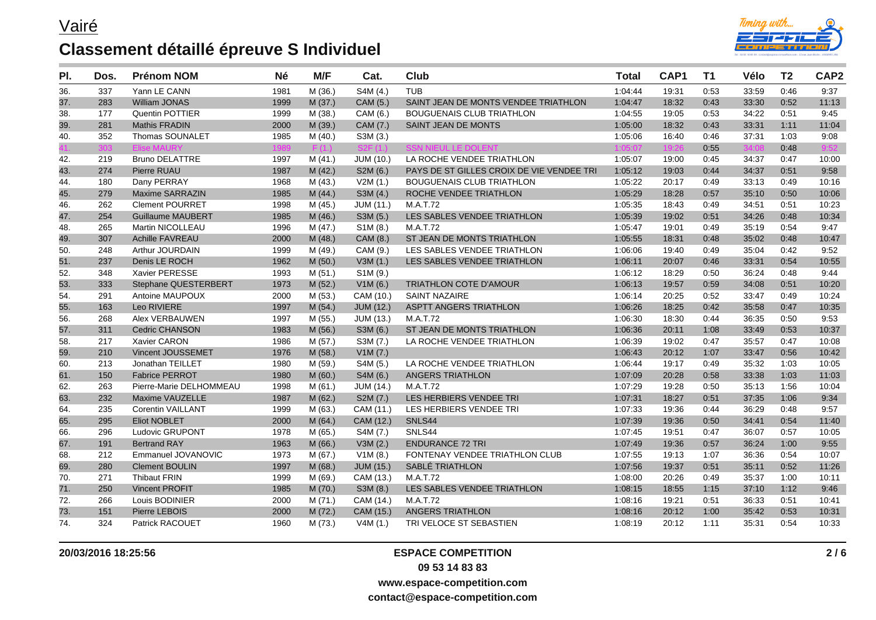

| PI. | Dos. | <b>Prénom NOM</b>           | <b>Né</b> | M/F     | Cat.             | Club                                      | <b>Total</b> | CAP1  | T <sub>1</sub> | Vélo  | T <sub>2</sub> | CAP <sub>2</sub> |
|-----|------|-----------------------------|-----------|---------|------------------|-------------------------------------------|--------------|-------|----------------|-------|----------------|------------------|
| 36. | 337  | Yann LE CANN                | 1981      | M (36.) | S4M (4.)         | <b>TUB</b>                                | 1:04:44      | 19:31 | 0:53           | 33:59 | 0:46           | 9:37             |
| 37. | 283  | <b>William JONAS</b>        | 1999      | M(37.)  | CAM (5.)         | SAINT JEAN DE MONTS VENDEE TRIATHLON      | 1:04:47      | 18:32 | 0:43           | 33:30 | 0:52           | 11:13            |
| 38. | 177  | Quentin POTTIER             | 1999      | M (38.) | CAM (6.)         | <b>BOUGUENAIS CLUB TRIATHLON</b>          | 1:04:55      | 19:05 | 0:53           | 34:22 | 0:51           | 9:45             |
| 39. | 281  | <b>Mathis FRADIN</b>        | 2000      | M (39.) | CAM (7.)         | SAINT JEAN DE MONTS                       | 1:05:00      | 18:32 | 0:43           | 33:31 | 1:11           | 11:04            |
| 40. | 352  | Thomas SOUNALET             | 1985      | M(40.)  | S3M (3.)         |                                           | 1:05:06      | 16:40 | 0:46           | 37:31 | 1:03           | 9:08             |
|     | 303  | <b>Elise MAURY</b>          | 1989      | F(1.)   | S2F(1)           | <b>SSN NIEUL LE DOLENT</b>                | 1:05:07      | 19:26 | 0:55           | 34:08 | 0:48           | 9:52             |
| 42. | 219  | <b>Bruno DELATTRE</b>       | 1997      | M(41.)  | JUM (10.)        | LA ROCHE VENDEE TRIATHLON                 | 1:05:07      | 19:00 | 0:45           | 34:37 | 0:47           | 10:00            |
| 43. | 274  | Pierre RUAU                 | 1987      | M(42.)  | S2M (6.)         | PAYS DE ST GILLES CROIX DE VIE VENDEE TRI | 1:05:12      | 19:03 | 0:44           | 34:37 | 0:51           | 9:58             |
| 44. | 180  | Dany PERRAY                 | 1968      | M (43.) | V2M(1.)          | <b>BOUGUENAIS CLUB TRIATHLON</b>          | 1:05:22      | 20:17 | 0:49           | 33:13 | 0:49           | 10:16            |
| 45. | 279  | <b>Maxime SARRAZIN</b>      | 1985      | M(44.)  | S3M(4.)          | ROCHE VENDEE TRIATHLON                    | 1:05:29      | 18:28 | 0:57           | 35:10 | 0:50           | 10:06            |
| 46. | 262  | <b>Clement POURRET</b>      | 1998      | M (45.) | JUM (11.)        | M.A.T.72                                  | 1:05:35      | 18:43 | 0:49           | 34.51 | 0:51           | 10:23            |
| 47. | 254  | <b>Guillaume MAUBERT</b>    | 1985      | M (46.) | S3M (5.)         | LES SABLES VENDEE TRIATHLON               | 1:05:39      | 19:02 | 0:51           | 34:26 | 0:48           | 10:34            |
| 48. | 265  | Martin NICOLLEAU            | 1996      | M (47.) | S1M (8.)         | M.A.T.72                                  | 1:05:47      | 19:01 | 0:49           | 35:19 | 0:54           | 9:47             |
| 49. | 307  | <b>Achille FAVREAU</b>      | 2000      | M (48.) | CAM (8.)         | ST JEAN DE MONTS TRIATHLON                | 1:05:55      | 18:31 | 0:48           | 35:02 | 0:48           | 10:47            |
| 50. | 248  | Arthur JOURDAIN             | 1999      | M (49.) | CAM (9.)         | LES SABLES VENDEE TRIATHLON               | 1:06:06      | 19:40 | 0:49           | 35:04 | 0:42           | 9:52             |
| 51. | 237  | Denis LE ROCH               | 1962      | M (50.) | V3M(1.)          | LES SABLES VENDEE TRIATHLON               | 1:06:11      | 20:07 | 0:46           | 33:31 | 0:54           | 10:55            |
| 52. | 348  | Xavier PERESSE              | 1993      | M(51.)  | S1M (9.)         |                                           | 1:06:12      | 18:29 | 0:50           | 36:24 | 0:48           | 9:44             |
| 53. | 333  | <b>Stephane QUESTERBERT</b> | 1973      | M(52.)  | V1M(6.)          | <b>TRIATHLON COTE D'AMOUR</b>             | 1:06:13      | 19:57 | 0:59           | 34:08 | 0:51           | 10:20            |
| 54. | 291  | Antoine MAUPOUX             | 2000      | M (53.) | CAM (10.)        | <b>SAINT NAZAIRE</b>                      | 1:06:14      | 20:25 | 0:52           | 33:47 | 0:49           | 10:24            |
| 55. | 163  | Leo RIVIERE                 | 1997      | M (54.) | <b>JUM (12.)</b> | <b>ASPTT ANGERS TRIATHLON</b>             | 1:06:26      | 18:25 | 0:42           | 35:58 | 0:47           | 10:35            |
| 56. | 268  | Alex VERBAUWEN              | 1997      | M(55.)  | <b>JUM (13.)</b> | M.A.T.72                                  | 1:06:30      | 18:30 | 0:44           | 36:35 | 0:50           | 9:53             |
| 57. | 311  | <b>Cedric CHANSON</b>       | 1983      | M (56.) | S3M (6.)         | ST JEAN DE MONTS TRIATHLON                | 1:06:36      | 20:11 | 1:08           | 33:49 | 0:53           | 10:37            |
| 58. | 217  | Xavier CARON                | 1986      | M (57.) | S3M (7.)         | LA ROCHE VENDEE TRIATHLON                 | 1:06:39      | 19:02 | 0:47           | 35:57 | 0.47           | 10:08            |
| 59. | 210  | Vincent JOUSSEMET           | 1976      | M (58.) | V1M(7.)          |                                           | 1:06:43      | 20:12 | 1:07           | 33:47 | 0:56           | 10:42            |
| 60. | 213  | Jonathan TEILLET            | 1980      | M (59.) | S4M (5.)         | LA ROCHE VENDEE TRIATHLON                 | 1:06:44      | 19:17 | 0:49           | 35:32 | 1:03           | 10:05            |
| 61. | 150  | <b>Fabrice PERROT</b>       | 1980      | M(60.)  | S4M (6.)         | ANGERS TRIATHLON                          | 1:07:09      | 20:28 | 0:58           | 33:38 | 1:03           | 11:03            |
| 62. | 263  | Pierre-Marie DELHOMMEAU     | 1998      | M(61.)  | <b>JUM (14.)</b> | M.A.T.72                                  | 1:07:29      | 19:28 | 0:50           | 35:13 | 1:56           | 10:04            |
| 63. | 232  | Maxime VAUZELLE             | 1987      | M(62.)  | S2M (7.)         | LES HERBIERS VENDEE TRI                   | 1:07:31      | 18:27 | 0:51           | 37:35 | 1:06           | 9:34             |
| 64. | 235  | <b>Corentin VAILLANT</b>    | 1999      | M (63.) | CAM (11.)        | LES HERBIERS VENDEE TRI                   | 1:07:33      | 19:36 | 0.44           | 36:29 | 0:48           | 9:57             |
| 65. | 295  | <b>Eliot NOBLET</b>         | 2000      | M (64.) | CAM (12.)        | SNLS44                                    | 1:07:39      | 19:36 | 0:50           | 34:41 | 0:54           | 11:40            |
| 66. | 296  | <b>Ludovic GRUPONT</b>      | 1978      | M (65.) | S4M (7.)         | SNLS44                                    | 1:07:45      | 19:51 | 0:47           | 36:07 | 0:57           | 10:05            |
| 67. | 191  | <b>Bertrand RAY</b>         | 1963      | M (66.) | V3M(2.)          | <b>ENDURANCE 72 TRI</b>                   | 1:07:49      | 19:36 | 0:57           | 36:24 | 1:00           | 9:55             |
| 68. | 212  | Emmanuel JOVANOVIC          | 1973      | M (67.) | V1M(8.)          | FONTENAY VENDEE TRIATHLON CLUB            | 1:07:55      | 19:13 | 1:07           | 36:36 | 0:54           | 10:07            |
| 69. | 280  | <b>Clement BOULIN</b>       | 1997      | M(68.)  | <b>JUM (15.)</b> | SABLÉ TRIATHLON                           | 1:07:56      | 19:37 | 0:51           | 35:11 | 0:52           | 11:26            |
| 70. | 271  | <b>Thibaut FRIN</b>         | 1999      | M (69.) | CAM (13.)        | M.A.T.72                                  | 1:08:00      | 20:26 | 0:49           | 35:37 | 1:00           | 10:11            |
| 71. | 250  | <b>Vincent PROFIT</b>       | 1985      | M (70.) | S3M (8.)         | LES SABLES VENDEE TRIATHLON               | 1:08:15      | 18:55 | 1:15           | 37:10 | 1:12           | 9:46             |
| 72. | 266  | Louis BODINIER              | 2000      | M(71.)  | CAM (14.)        | M.A.T.72                                  | 1:08:16      | 19:21 | 0:51           | 36:33 | 0:51           | 10:41            |
| 73. | 151  | Pierre LEBOIS               | 2000      | M (72.) | CAM (15.)        | <b>ANGERS TRIATHLON</b>                   | 1:08:16      | 20:12 | 1:00           | 35:42 | 0:53           | 10:31            |
| 74. | 324  | <b>Patrick RACOUET</b>      | 1960      | M (73.) | V4M(1.)          | TRI VELOCE ST SEBASTIEN                   | 1:08:19      | 20:12 | 1:11           | 35.31 | 0:54           | 10:33            |

#### **20/03/2016 18:25:56 ESPACE COMPETITION**

**09 53 14 83 83**

**www.espace-competition.com**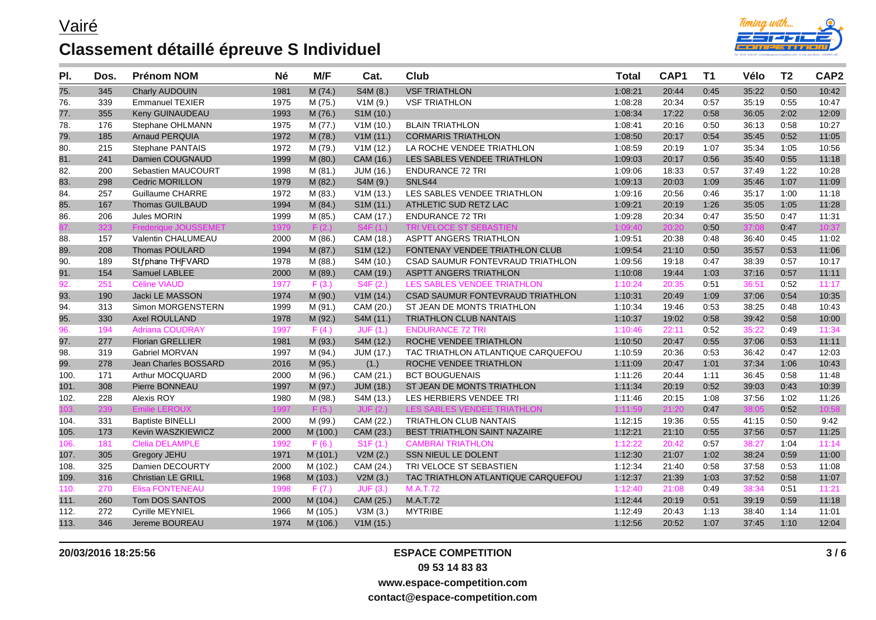

| PI.  | Dos. | <b>Prénom NOM</b>           | <b>Né</b> | M/F      | Cat.             | <b>Club</b>                                  | <b>Total</b> | CAP1  | <b>T1</b> | Vélo  | T <sub>2</sub> | CAP <sub>2</sub> |
|------|------|-----------------------------|-----------|----------|------------------|----------------------------------------------|--------------|-------|-----------|-------|----------------|------------------|
| 75.  | 345  | Charly AUDOUIN              | 1981      | M (74.)  | S4M (8.)         | <b>VSF TRIATHLON</b>                         | 1:08:21      | 20:44 | 0:45      | 35:22 | 0:50           | 10:42            |
| 76.  | 339  | <b>Emmanuel TEXIER</b>      | 1975      | M (75.)  | V1M(9.)          | <b>VSF TRIATHLON</b>                         | 1:08:28      | 20:34 | 0:57      | 35:19 | 0:55           | 10:47            |
| 77.  | 355  | Keny GUINAUDEAU             | 1993      | M (76.)  | S1M (10.)        |                                              | 1:08:34      | 17:22 | 0:58      | 36:05 | 2:02           | 12:09            |
| 78.  | 176  | Stephane OHLMANN            | 1975      | M (77.)  | V1M(10.)         | <b>BLAIN TRIATHLON</b>                       | 1:08:41      | 20:16 | 0:50      | 36:13 | 0:58           | 10:27            |
| 79.  | 185  | <b>Arnaud PERQUIA</b>       | 1972      | M (78.)  | V1M(11.)         | <b>CORMARIS TRIATHLON</b>                    | 1:08:50      | 20:17 | 0:54      | 35:45 | 0:52           | 11:05            |
| 80.  | 215  | <b>Stephane PANTAIS</b>     | 1972      | M (79.)  | V1M(12.)         | LA ROCHE VENDEE TRIATHLON                    | 1:08:59      | 20:19 | 1:07      | 35:34 | 1:05           | 10:56            |
| 81.  | 241  | Damien COUGNAUD             | 1999      | M (80.)  | CAM (16.)        | LES SABLES VENDEE TRIATHLON                  | 1:09:03      | 20:17 | 0:56      | 35:40 | 0:55           | 11:18            |
| 82.  | 200  | Sebastien MAUCOURT          | 1998      | M(81.)   | <b>JUM (16.)</b> | <b>ENDURANCE 72 TRI</b>                      | 1:09:06      | 18:33 | 0:57      | 37:49 | 1:22           | 10:28            |
| 83.  | 298  | <b>Cedric MORILLON</b>      | 1979      | M (82.)  | S4M (9.)         | SNLS44                                       | 1:09:13      | 20:03 | 1:09      | 35:46 | 1:07           | 11:09            |
| 84.  | 257  | <b>Guillaume CHARRE</b>     | 1972      | M (83.)  | V1M(13.)         | LES SABLES VENDEE TRIATHLON                  | 1:09:16      | 20:56 | 0:46      | 35:17 | 1:00           | 11:18            |
| 85.  | 167  | <b>Thomas GUILBAUD</b>      | 1994      | M (84.)  | S1M (11.)        | ATHLETIC SUD RETZ LAC                        | 1:09:21      | 20:19 | 1:26      | 35:05 | 1:05           | 11:28            |
| 86.  | 206  | Jules MORIN                 | 1999      | M (85.)  | CAM (17.)        | <b>ENDURANCE 72 TRI</b>                      | 1:09:28      | 20:34 | 0:47      | 35:50 | 0:47           | 11:31            |
|      | 323  | <b>Frederiaue JOUSSEMET</b> | 1979      | F(2)     | S4F(1)           | <b>TRI VELOCE ST SEBAST</b>                  | 1:09:40      | 20:20 | 0:50      | 37:08 | 0:47           | 10:37            |
| 88.  | 157  | Valentin CHALUMEAU          | 2000      | M(86.)   | CAM (18.)        | <b>ASPTT ANGERS TRIATHLON</b>                | 1:09:51      | 20:38 | 0:48      | 36:40 | 0:45           | 11:02            |
| 89.  | 208  | Thomas POULARD              | 1994      | M (87.)  | S1M (12.)        | FONTENAY VENDEE TRIATHLON CLUB               | 1:09:54      | 21:10 | 0:50      | 35:57 | 0:53           | 11:06            |
| 90.  | 189  | Stfphane THFVARD            | 1978      | M (88.)  | S4M (10.)        | CSAD SAUMUR FONTEVRAUD TRIATHLON             | 1:09:56      | 19:18 | 0:47      | 38:39 | 0:57           | 10:17            |
| 91.  | 154  | Samuel LABLEE               | 2000      | M (89.)  | CAM (19.)        | <b>ASPTT ANGERS TRIATHLON</b>                | 1:10:08      | 19:44 | 1:03      | 37:16 | 0:57           | 11:11            |
| 92.  | 251  | <b>Céline VIAUD</b>         | 1977      | F(3.)    | S4F(2.)          | LES SABLES VENDEE TRIATHLON                  | 1:10:24      | 20:35 | 0:51      | 36:51 | 0:52           | 11:17            |
| 93.  | 190  | Jacki LE MASSON             | 1974      | M (90.)  | V1M(14.)         | CSAD SAUMUR FONTEVRAUD TRIATHLON             | 1:10:31      | 20:49 | 1:09      | 37:06 | 0:54           | 10:35            |
| 94.  | 313  | Simon MORGENSTERN           | 1999      | M (91.)  | CAM (20.)        | ST JEAN DE MONTS TRIATHLON                   | 1:10:34      | 19:46 | 0:53      | 38:25 | 0:48           | 10:43            |
| 95.  | 330  | <b>Axel ROULLAND</b>        | 1978      | M (92.)  | S4M (11.)        | <b>TRIATHLON CLUB NANTAIS</b>                | 1:10:37      | 19:02 | 0:58      | 39:42 | 0:58           | 10:00            |
| 96.  | 194  | <b>Adriana COUDRAY</b>      | 1997      | F(4.)    | JUF(1.)          | <b>ENDURANCE 72 TRI</b>                      | 1:10:46      | 22:11 | 0:52      | 35:22 | 0:49           | 11:34            |
| 97.  | 277  | <b>Florian GRELLIER</b>     | 1981      | M (93.)  | S4M (12.)        | ROCHE VENDEE TRIATHLON                       | 1:10:50      | 20:47 | 0:55      | 37:06 | 0:53           | 11:11            |
| 98.  | 319  | Gabriel MORVAN              | 1997      | M (94.)  | <b>JUM (17.)</b> | TAC TRIATHLON ATLANTIQUE CARQUEFOU           | 1:10:59      | 20:36 | 0:53      | 36:42 | 0:47           | 12:03            |
| 99.  | 278  | Jean Charles BOSSARD        | 2016      | M (95.)  | (1.)             | ROCHE VENDEE TRIATHLON                       | 1:11:09      | 20:47 | 1:01      | 37:34 | 1:06           | 10:43            |
| 100. | 171  | Arthur MOCQUARD             | 2000      | M (96.)  | CAM (21.)        | <b>BCT BOUGUENAIS</b>                        | 1:11:26      | 20:44 | 1:11      | 36:45 | 0:58           | 11:48            |
| 101. | 308  | Pierre BONNEAU              | 1997      | M (97.)  | <b>JUM (18.)</b> | ST JEAN DE MONTS TRIATHLON                   | 1:11:34      | 20:19 | 0:52      | 39:03 | 0:43           | 10:39            |
| 102. | 228  | Alexis ROY                  | 1980      | M (98.)  | S4M (13.)        | LES HERBIERS VENDEE TRI                      | 1:11:46      | 20:15 | 1:08      | 37:56 | 1:02           | 11:26            |
|      | 239  | <b>Emilie LEROUX</b>        | 1997      | F(5)     |                  | <b>LES SABLES VENDEE T</b><br><b>ATHI ON</b> | 1:11:59      | 21:20 | 0:47      | 38:0  | 0:52           | 10:58            |
| 104. | 331  | <b>Baptiste BINELLI</b>     | 2000      | M (99.)  | CAM (22.)        | <b>TRIATHLON CLUB NANTAIS</b>                | 1:12:15      | 19:36 | 0.55      | 41:15 | 0:50           | 9:42             |
| 105. | 173  | Kevin WASZKIEWICZ           | 2000      | M (100.) | CAM (23.)        | BEST TRIATHLON SAINT NAZAIRE                 | 1:12:21      | 21:10 | 0:55      | 37:56 | 0:57           | 11:25            |
| 106. | 181  | <b>Clelia DELAMPLE</b>      | 1992      | F(6.)    | S1F(1.)          | <b>CAMBRAI TRIATHLON</b>                     | 1:12:22      | 20:42 | 0:57      | 38:27 | 1:04           | 11:14            |
| 107. | 305  | <b>Gregory JEHU</b>         | 1971      | M(101.)  | V2M(2.)          | SSN NIEUL LE DOLENT                          | 1:12:30      | 21:07 | 1:02      | 38:24 | 0:59           | 11:00            |
| 108. | 325  | Damien DECOURTY             | 2000      | M (102.) | CAM (24.)        | TRI VELOCE ST SEBASTIEN                      | 1:12:34      | 21:40 | 0:58      | 37:58 | 0:53           | 11:08            |
| 109. | 316  | <b>Christian LE GRILL</b>   | 1968      | M (103.) | V2M(3.)          | TAC TRIATHLON ATLANTIQUE CARQUEFOU           | 1:12:37      | 21:39 | 1:03      | 37:52 | 0:58           | 11:07            |
| 110. | 270  | <b>Elisa FONTENEAU</b>      | 1998      | F(7.)    | JUF(3.)          | M.A.T.72                                     | 1:12:40      | 21:08 | 0:49      | 38:34 | 0:51           | 11:21            |
| 111. | 260  | Tom DOS SANTOS              | 2000      | M (104.) | CAM (25.)        | M.A.T.72                                     | 1:12:44      | 20:19 | 0:51      | 39:19 | 0:59           | 11:18            |
| 112. | 272  | <b>Cyrille MEYNIEL</b>      | 1966      | M (105.) | V3M(3.)          | <b>MYTRIBE</b>                               | 1:12:49      | 20:43 | 1:13      | 38:40 | 1:14           | 11:01            |
| 113. | 346  | Jereme BOUREAU              | 1974      | M (106.) | V1M(15.)         |                                              | 1:12:56      | 20:52 | 1:07      | 37:45 | 1:10           | 12:04            |

#### **20/03/2016 18:25:56 ESPACE COMPETITION 09 53 14 83 83**

**3 / 6**

**www.espace-competition.com**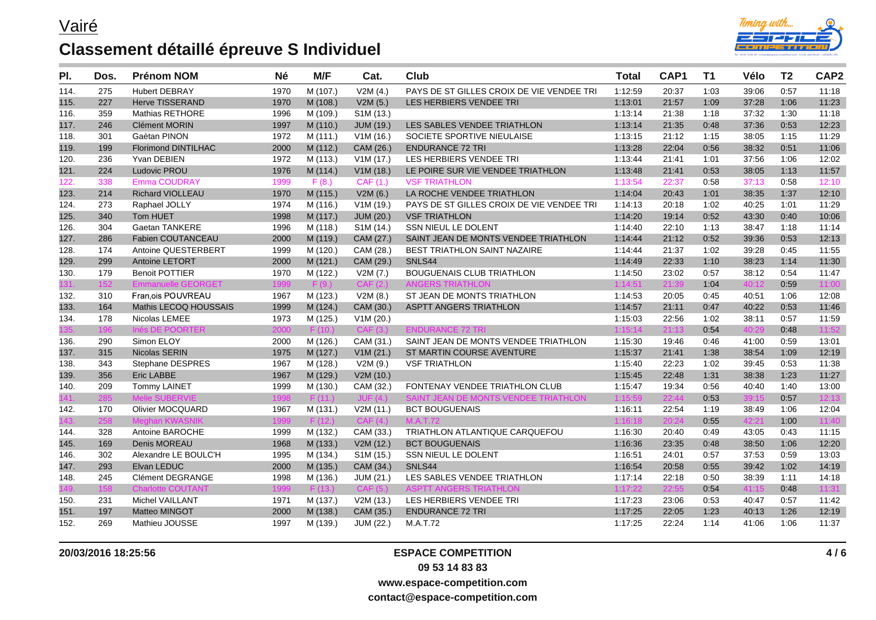

| PI.  | Dos. | <b>Prénom NOM</b>          | Né   | M/F      | Cat.                   | Club                                      | <b>Total</b> | CAP1  | T <sub>1</sub> | Vélo  | T <sub>2</sub> | CAP <sub>2</sub> |
|------|------|----------------------------|------|----------|------------------------|-------------------------------------------|--------------|-------|----------------|-------|----------------|------------------|
| 114. | 275  | <b>Hubert DEBRAY</b>       | 1970 | M (107.) | V2M(4.)                | PAYS DE ST GILLES CROIX DE VIE VENDEE TRI | 1:12:59      | 20:37 | 1:03           | 39:06 | 0:57           | 11:18            |
| 115. | 227  | <b>Herve TISSERAND</b>     | 1970 | M (108.) | V2M(5.)                | LES HERBIERS VENDEE TRI                   | 1:13:01      | 21:57 | 1:09           | 37:28 | 1:06           | 11:23            |
| 116. | 359  | <b>Mathias RETHORE</b>     | 1996 | M (109.) | S1M (13.)              |                                           | 1:13:14      | 21:38 | 1:18           | 37:32 | 1:30           | 11:18            |
| 117. | 246  | <b>Clément MORIN</b>       | 1997 | M (110.) | <b>JUM (19.)</b>       | LES SABLES VENDEE TRIATHLON               | 1:13:14      | 21:35 | 0:48           | 37:36 | 0:53           | 12:23            |
| 118. | 301  | Gaètan PINON               | 1972 | M(111.)  | V1M(16.)               | SOCIETE SPORTIVE NIEULAISE                | 1:13:15      | 21:12 | 1:15           | 38:05 | 1:15           | 11:29            |
| 119. | 199  | <b>Florimond DINTILHAC</b> | 2000 | M (112.) | CAM (26.)              | <b>ENDURANCE 72 TRI</b>                   | 1:13:28      | 22:04 | 0:56           | 38:32 | 0:51           | 11:06            |
| 120. | 236  | Yvan DEBIEN                | 1972 | M (113.) | V1M(17.)               | LES HERBIERS VENDEE TRI                   | 1:13:44      | 21:41 | 1:01           | 37:56 | 1:06           | 12:02            |
| 121. | 224  | Ludovic PROU               | 1976 | M (114.) | V1M(18.)               | LE POIRE SUR VIE VENDEE TRIATHLON         | 1:13:48      | 21:41 | 0:53           | 38:05 | 1:13           | 11:57            |
| 122. | 338  | <b>Emma COUDRAY</b>        | 1999 | F(8.)    | CAF(1.)                | <b>VSF TRIATHLON</b>                      | 1:13:54      | 22:37 | 0:58           | 37:13 | 0:58           | 12:10            |
| 123. | 214  | <b>Richard VIOLLEAU</b>    | 1970 | M (115.) | V2M(6.)                | LA ROCHE VENDEE TRIATHLON                 | 1:14:04      | 20:43 | 1:01           | 38:35 | 1:37           | 12:10            |
| 124. | 273  | Raphael JOLLY              | 1974 | M (116.) | V1M(19.)               | PAYS DE ST GILLES CROIX DE VIE VENDEE TRI | 1:14:13      | 20:18 | 1:02           | 40:25 | 1:01           | 11:29            |
| 125. | 340  | Tom HUET                   | 1998 | M (117.) | <b>JUM (20.)</b>       | <b>VSF TRIATHLON</b>                      | 1:14:20      | 19:14 | 0:52           | 43:30 | 0:40           | 10:06            |
| 126. | 304  | <b>Gaetan TANKERE</b>      | 1996 | M (118.) | S1M (14.)              | SSN NIEUL LE DOLENT                       | 1:14:40      | 22:10 | 1:13           | 38:47 | 1:18           | 11:14            |
| 127. | 286  | Fabien COUTANCEAU          | 2000 | M (119.) | CAM (27.)              | SAINT JEAN DE MONTS VENDEE TRIATHLON      | 1:14:44      | 21:12 | 0:52           | 39:36 | 0:53           | 12:13            |
| 128. | 174  | Antoine QUESTERBERT        | 1999 | M (120.) | CAM (28.)              | BEST TRIATHLON SAINT NAZAIRE              | 1:14:44      | 21:37 | 1:02           | 39:28 | 0:45           | 11:55            |
| 129. | 299  | <b>Antoine LETORT</b>      | 2000 | M(121.)  | CAM (29.)              | SNLS44                                    | 1:14:49      | 22:33 | 1:10           | 38:23 | 1:14           | 11:30            |
| 130. | 179  | <b>Benoit POTTIER</b>      | 1970 | M (122.) | V2M (7.)               | BOUGUENAIS CLUB TRIATHLON                 | 1:14:50      | 23:02 | 0:57           | 38:12 | 0:54           | 11:47            |
| 31.  | 152  | <b>Emmanuelle GEORGET</b>  | 1999 | F(9.)    | CAF(2)                 | TRIATHI ON                                | 1:14:51      | 21:39 | 1:04           | 40:12 | 0:59           | 11:00            |
| 132. | 310  | Fran.ois POUVREAU          | 1967 | M (123.) | V2M(8.)                | ST JEAN DE MONTS TRIATHLON                | 1:14:53      | 20:05 | 0:45           | 40:51 | 1:06           | 12:08            |
| 133. | 164  | Mathis LECOQ HOUSSAIS      | 1999 | M (124.) | CAM (30.)              | <b>ASPTT ANGERS TRIATHLON</b>             | 1:14:57      | 21:11 | 0:47           | 40:22 | 0:53           | 11:46            |
| 134. | 178  | Nicolas LEMEE              | 1973 | M (125.) | V1M (20.)              |                                           | 1:15:03      | 22:56 | 1:02           | 38:11 | 0:57           | 11:59            |
| 35.  | 196  | Inés DE POORTER            | 2000 | F(10)    | CAF(3.)                | <b>ENDURANCE 72 TRI</b>                   | 1:15:14      | 21:13 | 0:54           | 40:29 | 0:48           | 11:52            |
| 136. | 290  | Simon ELOY                 | 2000 | M (126.) | CAM (31.)              | SAINT JEAN DE MONTS VENDEE TRIATHLON      | 1:15:30      | 19:46 | 0.46           | 41:00 | 0:59           | 13:01            |
| 137. | 315  | Nicolas SERIN              | 1975 | M (127.) | V1M (21.)              | ST MARTIN COURSE AVENTURE                 | 1:15:37      | 21:41 | 1:38           | 38:54 | 1:09           | 12:19            |
| 138. | 343  | <b>Stephane DESPRES</b>    | 1967 | M (128.) | V2M(9.)                | <b>VSF TRIATHLON</b>                      | 1:15:40      | 22:23 | 1:02           | 39:45 | 0:53           | 11:38            |
| 139. | 356  | Eric LABBE                 | 1967 | M (129.) | V2M(10.)               |                                           | 1:15:45      | 22:48 | 1:31           | 38:38 | 1:23           | 11:27            |
| 140. | 209  | <b>Tommy LAINET</b>        | 1999 | M (130.) | CAM (32.)              | FONTENAY VENDEE TRIATHLON CLUB            | 1:15:47      | 19:34 | 0:56           | 40:40 | 1:40           | 13:00            |
| 41.  | 285  |                            |      | F(11)    | $JU = (4)$             | SAINT JEAN DE MONTS VENDEE TRIATHLON      | 1:15:59      | 22:44 | 0:53           | 39:15 | 0:57           | 12:13            |
| 142. | 170  | <b>Olivier MOCQUARD</b>    | 1967 | M (131.) | V2M(11.)               | <b>BCT BOUGUENAIS</b>                     | 1:16:11      | 22:54 | 1:19           | 38:49 | 1:06           | 12:04            |
| 43.  | 258  |                            |      | F (12.)  | CAF(4.)                | M.A.T.72                                  | 1:16:18      | 20:24 | 0:55           | 42:21 | 1:00           | 11:40            |
| 144. | 328  | Antoine BAROCHE            | 1999 | M (132.) | CAM (33.)              | TRIATHLON ATLANTIQUE CARQUEFOU            | 1:16:30      | 20:40 | 0:49           | 43:05 | 0:43           | 11:15            |
| 145. | 169  | Denis MOREAU               | 1968 | M (133.) | V2M(12.)               | <b>BCT BOUGUENAIS</b>                     | 1:16:36      | 23:35 | 0:48           | 38:50 | 1:06           | 12:20            |
| 146. | 302  | Alexandre LE BOULC'H       | 1995 | M (134.) | S <sub>1</sub> M (15.) | SSN NIEUL LE DOLENT                       | 1:16:51      | 24:01 | 0:57           | 37.53 | 0:59           | 13:03            |
| 147. | 293  | Elvan LEDUC                | 2000 | M (135.) | CAM (34.)              | SNLS44                                    | 1:16:54      | 20:58 | 0:55           | 39:42 | 1:02           | 14:19            |
| 148. | 245  | Clément DEGRANGE           | 1998 | M (136.) | JUM (21.)              | LES SABLES VENDEE TRIATHLON               | 1:17:14      | 22:18 | 0:50           | 38:39 | 1:11           | 14:18            |
|      | 158  | <b>Charlotte COUTANT</b>   | 1999 | F(13.)   | CAF(5.)                | <b>ASPTT ANGERS TRIATHLON</b>             | 1:17:22      | 22:55 | 0:54           | 41:15 | 0:48           | 11:31            |
| 150. | 231  | Michel VAILLANT            | 1971 | M (137.) | V2M(13.)               | LES HERBIERS VENDEE TRI                   | 1:17:23      | 23:06 | 0.53           | 40:47 | 0:57           | 11:42            |
| 151. | 197  | <b>Matteo MINGOT</b>       | 2000 | M (138.) | CAM (35.)              | <b>ENDURANCE 72 TRI</b>                   | 1:17:25      | 22:05 | 1:23           | 40:13 | 1:26           | 12:19            |
| 152. | 269  | Mathieu JOUSSE             | 1997 | M (139.) | JUM (22.)              | M.A.T.72                                  | 1:17:25      | 22:24 | 1:14           | 41:06 | 1:06           | 11:37            |

### **20/03/2016 18:25:56 ESPACE COMPETITION**

**09 53 14 83 83**

**www.espace-competition.com**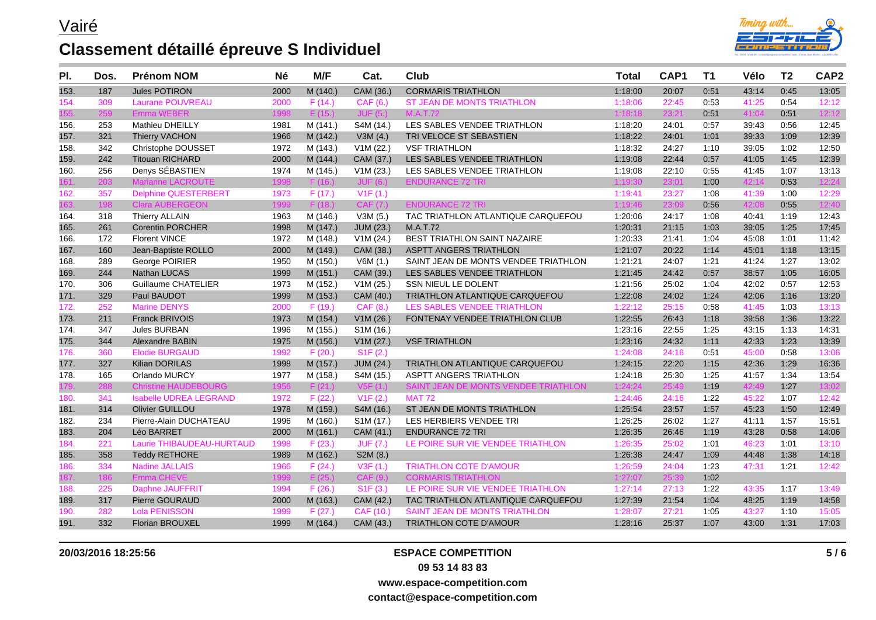

| PI.  | Dos. | <b>Prénom NOM</b>             | <b>Né</b> | M/F      | Cat.                   | <b>Club</b>                          | <b>Total</b> | CAP1  | T1   | Vélo  | T <sub>2</sub> | CAP <sub>2</sub> |
|------|------|-------------------------------|-----------|----------|------------------------|--------------------------------------|--------------|-------|------|-------|----------------|------------------|
| 153. | 187  | <b>Jules POTIRON</b>          | 2000      | M (140.) | CAM (36.)              | <b>CORMARIS TRIATHLON</b>            | 1:18:00      | 20:07 | 0:51 | 43:14 | 0:45           | 13:05            |
| 154. | 309  | <b>Laurane POUVREAU</b>       | 2000      | F(14.)   | CAF (6.)               | <b>ST JEAN DE MONTS TRIATHLON</b>    | 1:18:06      | 22:45 | 0:53 | 41:25 | 0:54           | 12:12            |
| 55.  | 259  | <b>Emma WEBER</b>             | 1998      | F(15.)   | JUF(5.)                | <b>M.A.T.72</b>                      | 1:18:18      | 23:21 | 0:51 | 41:04 | 0:51           | 12:12            |
| 156. | 253  | <b>Mathieu DHEILLY</b>        | 1981      | M (141.) | S4M (14.)              | LES SABLES VENDEE TRIATHLON          | 1:18:20      | 24:01 | 0:57 | 39:43 | 0:56           | 12:45            |
| 157. | 321  | <b>Thierry VACHON</b>         | 1966      | M (142.) | V3M(4.)                | TRI VELOCE ST SEBASTIEN              | 1:18:22      | 24:01 | 1:01 | 39:33 | 1:09           | 12:39            |
| 158. | 342  | Christophe DOUSSET            | 1972      | M (143.) | V1M (22.)              | <b>VSF TRIATHLON</b>                 | 1:18:32      | 24:27 | 1:10 | 39:05 | 1:02           | 12:50            |
| 159. | 242  | <b>Titouan RICHARD</b>        | 2000      | M (144.) | CAM (37.)              | LES SABLES VENDEE TRIATHLON          | 1:19:08      | 22:44 | 0:57 | 41:05 | 1:45           | 12:39            |
| 160. | 256  | Denys SÉBASTIEN               | 1974      | M (145.) | V1M (23.)              | LES SABLES VENDEE TRIATHLON          | 1:19:08      | 22:10 | 0:55 | 41:45 | 1:07           | 13:13            |
| I61. | 203  | <b>Marianne LACROUTE</b>      | 1998      | F(16.)   | JUF(6.)                | <b>ENDURANCE 72 TRI</b>              | 1:19:30      | 23:01 | 1:00 | 42:14 | 0:53           | 12:24            |
| 162. | 357  | <b>Delphine QUESTERBERT</b>   | 1973      | F(17.)   | V1F(1.)                |                                      | 1:19:41      | 23:27 | 1:08 | 41:39 | 1:00           | 12:29            |
| 163. | 198  | <b>Clara AUBERGEON</b>        | 1999      | F(18.)   | CAF (7.)               | <b>ENDURANCE 72 TRI</b>              | 1:19:46      | 23:09 | 0:56 | 42:08 | 0:55           | 12:40            |
| 164. | 318  | <b>Thierry ALLAIN</b>         | 1963      | M (146.) | V3M(5.)                | TAC TRIATHLON ATLANTIQUE CARQUEFOU   | 1:20:06      | 24:17 | 1:08 | 40:41 | 1:19           | 12:43            |
| 165. | 261  | <b>Corentin PORCHER</b>       | 1998      | M (147.) | <b>JUM (23.)</b>       | M.A.T.72                             | 1:20:31      | 21:15 | 1:03 | 39:05 | 1:25           | 17:45            |
| 166. | 172  | <b>Florent VINCE</b>          | 1972      | M (148.) | V1M (24.)              | BEST TRIATHLON SAINT NAZAIRE         | 1:20:33      | 21:41 | 1:04 | 45:08 | 1:01           | 11:42            |
| 167. | 160  | Jean-Baptiste ROLLO           | 2000      | M (149.) | CAM (38.)              | <b>ASPTT ANGERS TRIATHLON</b>        | 1:21:07      | 20:22 | 1:14 | 45:01 | 1:18           | 13:15            |
| 168. | 289  | George POIRIER                | 1950      | M (150.) | V6M(1.)                | SAINT JEAN DE MONTS VENDEE TRIATHLON | 1:21:21      | 24:07 | 1:21 | 41:24 | 1:27           | 13:02            |
| 169. | 244  | <b>Nathan LUCAS</b>           | 1999      | M (151.) | CAM (39.)              | LES SABLES VENDEE TRIATHLON          | 1:21:45      | 24:42 | 0:57 | 38:57 | 1:05           | 16:05            |
| 170. | 306  | <b>Guillaume CHATELIER</b>    | 1973      | M (152.) | V1M(25.)               | SSN NIEUL LE DOLENT                  | 1:21:56      | 25:02 | 1:04 | 42:02 | 0:57           | 12:53            |
| 171. | 329  | Paul BAUDOT                   | 1999      | M (153.) | CAM (40.)              | TRIATHLON ATLANTIQUE CARQUEFOU       | 1:22:08      | 24:02 | 1:24 | 42:06 | 1:16           | 13:20            |
| 172. | 252  | <b>Marine DENYS</b>           | 2000      | F(19.)   | CAF (8.)               | LES SABLES VENDEE TRIATHLON          | 1:22:12      | 25:15 | 0:58 | 41:45 | 1:03           | 13:13            |
| 173. | 211  | <b>Franck BRIVOIS</b>         | 1973      | M (154.) | V1M(26.)               | FONTENAY VENDEE TRIATHLON CLUB       | 1:22:55      | 26:43 | 1:18 | 39:58 | 1:36           | 13:22            |
| 174. | 347  | Jules BURBAN                  | 1996      | M (155.) | S <sub>1</sub> M (16.) |                                      | 1:23:16      | 22:55 | 1:25 | 43:15 | 1:13           | 14:31            |
| 175. | 344  | <b>Alexandre BABIN</b>        | 1975      | M (156.) | V1M (27.)              | <b>VSF TRIATHLON</b>                 | 1:23:16      | 24:32 | 1:11 | 42:33 | 1:23           | 13:39            |
| 176. | 360  | <b>Elodie BURGAUD</b>         | 1992      | F(20.)   | S1F(2.)                |                                      | 1:24:08      | 24:16 | 0:51 | 45:00 | 0:58           | 13:06            |
| 177. | 327  | Kilian DORILAS                | 1998      | M (157.) | <b>JUM (24.)</b>       | TRIATHLON ATLANTIQUE CARQUEFOU       | 1:24:15      | 22:20 | 1:15 | 42:36 | 1:29           | 16:36            |
| 178. | 165  | Orlando MURCY                 | 1977      | M (158.) | S4M (15.)              | <b>ASPTT ANGERS TRIATHLON</b>        | 1:24:18      | 25:30 | 1:25 | 41:57 | 1:34           | 13:54            |
|      | 288  | <b>Christine HAUDEBOURG</b>   | 1956      | F(21.)   | V5F(1.)                | SAINT JEAN DE MONTS VENDEE TRIATHLON | 1:24:24      | 25:49 | 1:19 | 42:49 | 1:27           | 13:02            |
| 180. | 341  | <b>Isabelle UDREA LEGRAND</b> | 1972      | F(22.)   | V1F(2.)                | <b>MAT 72</b>                        | 1:24:46      | 24:16 | 1:22 | 45:22 | 1:07           | 12:42            |
| 181. | 314  | <b>Olivier GUILLOU</b>        | 1978      | M (159.) | S4M (16.)              | ST JEAN DE MONTS TRIATHLON           | 1:25:54      | 23:57 | 1:57 | 45:23 | 1:50           | 12:49            |
| 182. | 234  | Pierre-Alain DUCHATEAU        | 1996      | M (160.) | S <sub>1</sub> M (17.) | LES HERBIERS VENDEE TRI              | 1:26:25      | 26:02 | 1:27 | 41:11 | 1:57           | 15:51            |
| 183. | 204  | Léo BARRET                    | 2000      | M (161.) | CAM (41.)              | <b>ENDURANCE 72 TRI</b>              | 1:26:35      | 26:46 | 1:19 | 43:28 | 0:58           | 14:06            |
| 184. | 221  | Laurie THIBAUDEAU-HURTAUD     | 1998      | F(23.)   | <b>JUF (7.)</b>        | LE POIRE SUR VIE VENDEE TRIATHLON    | 1:26:35      | 25:02 | 1:01 | 46:23 | 1:01           | 13:10            |
| 185. | 358  | <b>Teddy RETHORE</b>          | 1989      | M (162.) | S2M (8.)               |                                      | 1:26:38      | 24:47 | 1:09 | 44:48 | 1:38           | 14:18            |
| 186. | 334  | <b>Nadine JALLAIS</b>         | 1966      | F(24.)   | V3F(1.)                | <b>TRIATHLON COTE D'AMOUR</b>        | 1:26:59      | 24:04 | 1:23 | 47:31 | 1:21           | 12:42            |
| 187. | 186  | Emma CHEVE                    | 1999      | F(25.)   | CAF(9.)                | <b>CORMARIS TRIATHLON</b>            | 1:27:07      | 25:39 | 1:02 |       |                |                  |
| 188. | 225  | Daphne JAUFFRIT               | 1994      | F(26.)   | S1F(3.)                | LE POIRE SUR VIE VENDEE TRIATHLON    | 1:27:14      | 27:13 | 1:22 | 43:35 | 1:17           | 13:49            |
| 189. | 317  | Pierre GOURAUD                | 2000      | M (163.) | CAM (42.)              | TAC TRIATHLON ATLANTIQUE CARQUEFOU   | 1:27:39      | 21:54 | 1:04 | 48:25 | 1:19           | 14:58            |
| 190. | 282  | <b>Lola PENISSON</b>          | 1999      | F(27.)   | CAF (10.)              | SAINT JEAN DE MONTS TRIATHLON        | 1:28:07      | 27:21 | 1:05 | 43:27 | 1:10           | 15:05            |
| 191. | 332  | <b>Florian BROUXEL</b>        | 1999      | M (164.) | CAM (43.)              | <b>TRIATHLON COTE D'AMOUR</b>        | 1:28:16      | 25:37 | 1:07 | 43:00 | 1:31           | 17:03            |

### **20/03/2016 18:25:56 ESPACE COMPETITION**

**09 53 14 83 83**

**www.espace-competition.com**